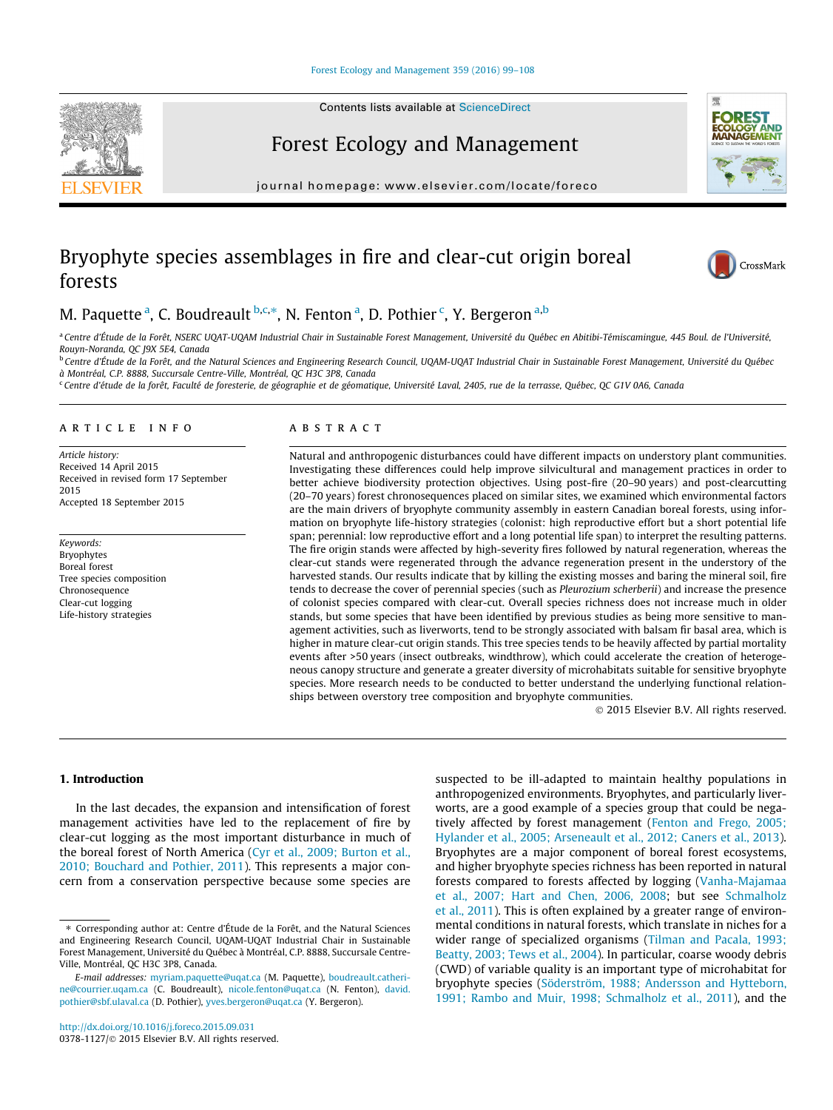#### [Forest Ecology and Management 359 \(2016\) 99–108](http://dx.doi.org/10.1016/j.foreco.2015.09.031)



# Forest Ecology and Management

journal homepage: [www.elsevier.com/locate/foreco](http://www.elsevier.com/locate/foreco)

# Bryophyte species assemblages in fire and clear-cut origin boreal forests



欄



# M. Paquette <sup>a</sup>, C. Boudreault <sup>b,c,\*</sup>, N. Fenton <sup>a</sup>, D. Pothier <sup>c</sup>, Y. Bergeron <sup>a,b</sup>

a Centre d'Étude de la Forêt, NSERC UOAT-UOAM Industrial Chair in Sustainable Forest Management, Université du Québec en Abitibi-Témiscamingue, 445 Boul. de l'Université, Rouyn-Noranda, QC J9X 5E4, Canada

<sup>b</sup> Centre d'Étude de la Forêt, and the Natural Sciences and Engineering Research Council, UQAM-UQAT Industrial Chair in Sustainable Forest Management, Université du Québec à Montréal, C.P. 8888, Succursale Centre-Ville, Montréal, QC H3C 3P8, Canada

<sup>c</sup> Centre d'étude de la forêt, Faculté de foresterie, de géographie et de géomatique, Université Laval, 2405, rue de la terrasse, Québec, QC G1V 0A6, Canada

# article info

Article history: Received 14 April 2015 Received in revised form 17 September 2015 Accepted 18 September 2015

Keywords: Bryophytes Boreal forest Tree species composition Chronosequence Clear-cut logging Life-history strategies

## **ABSTRACT**

Natural and anthropogenic disturbances could have different impacts on understory plant communities. Investigating these differences could help improve silvicultural and management practices in order to better achieve biodiversity protection objectives. Using post-fire (20–90 years) and post-clearcutting (20–70 years) forest chronosequences placed on similar sites, we examined which environmental factors are the main drivers of bryophyte community assembly in eastern Canadian boreal forests, using information on bryophyte life-history strategies (colonist: high reproductive effort but a short potential life span; perennial: low reproductive effort and a long potential life span) to interpret the resulting patterns. The fire origin stands were affected by high-severity fires followed by natural regeneration, whereas the clear-cut stands were regenerated through the advance regeneration present in the understory of the harvested stands. Our results indicate that by killing the existing mosses and baring the mineral soil, fire tends to decrease the cover of perennial species (such as Pleurozium scherberii) and increase the presence of colonist species compared with clear-cut. Overall species richness does not increase much in older stands, but some species that have been identified by previous studies as being more sensitive to management activities, such as liverworts, tend to be strongly associated with balsam fir basal area, which is higher in mature clear-cut origin stands. This tree species tends to be heavily affected by partial mortality events after >50 years (insect outbreaks, windthrow), which could accelerate the creation of heterogeneous canopy structure and generate a greater diversity of microhabitats suitable for sensitive bryophyte species. More research needs to be conducted to better understand the underlying functional relationships between overstory tree composition and bryophyte communities.

2015 Elsevier B.V. All rights reserved.

## 1. Introduction

In the last decades, the expansion and intensification of forest management activities have led to the replacement of fire by clear-cut logging as the most important disturbance in much of the boreal forest of North America ([Cyr et al., 2009; Burton et al.,](#page-8-0) [2010; Bouchard and Pothier, 2011\)](#page-8-0). This represents a major concern from a conservation perspective because some species are

suspected to be ill-adapted to maintain healthy populations in anthropogenized environments. Bryophytes, and particularly liverworts, are a good example of a species group that could be negatively affected by forest management [\(Fenton and Frego, 2005;](#page-8-0) [Hylander et al., 2005; Arseneault et al., 2012; Caners et al., 2013\)](#page-8-0). Bryophytes are a major component of boreal forest ecosystems, and higher bryophyte species richness has been reported in natural forests compared to forests affected by logging ([Vanha-Majamaa](#page-9-0) [et al., 2007; Hart and Chen, 2006, 2008;](#page-9-0) but see [Schmalholz](#page-9-0) [et al., 2011](#page-9-0)). This is often explained by a greater range of environmental conditions in natural forests, which translate in niches for a wider range of specialized organisms ([Tilman and Pacala, 1993;](#page-9-0) [Beatty, 2003; Tews et al., 2004](#page-9-0)). In particular, coarse woody debris (CWD) of variable quality is an important type of microhabitat for bryophyte species [\(Söderström, 1988; Andersson and Hytteborn,](#page-9-0) [1991; Rambo and Muir, 1998; Schmalholz et al., 2011](#page-9-0)), and the

<sup>⇑</sup> Corresponding author at: Centre d'Étude de la Forêt, and the Natural Sciences and Engineering Research Council, UQAM-UQAT Industrial Chair in Sustainable Forest Management, Université du Québec à Montréal, C.P. 8888, Succursale Centre-Ville, Montréal, QC H3C 3P8, Canada.

E-mail addresses: [myriam.paquette@uqat.ca](mailto:myriam.paquette@uqat.ca) (M. Paquette), [boudreault.catheri](mailto:boudreault.catherine@courrier.uqam.ca)[ne@courrier.uqam.ca](mailto:boudreault.catherine@courrier.uqam.ca) (C. Boudreault), [nicole.fenton@uqat.ca](mailto:nicole.fenton@uqat.ca) (N. Fenton), [david.](mailto:david.pothier@sbf.ulaval.ca) [pothier@sbf.ulaval.ca](mailto:david.pothier@sbf.ulaval.ca) (D. Pothier), [yves.bergeron@uqat.ca](mailto:yves.bergeron@uqat.ca) (Y. Bergeron).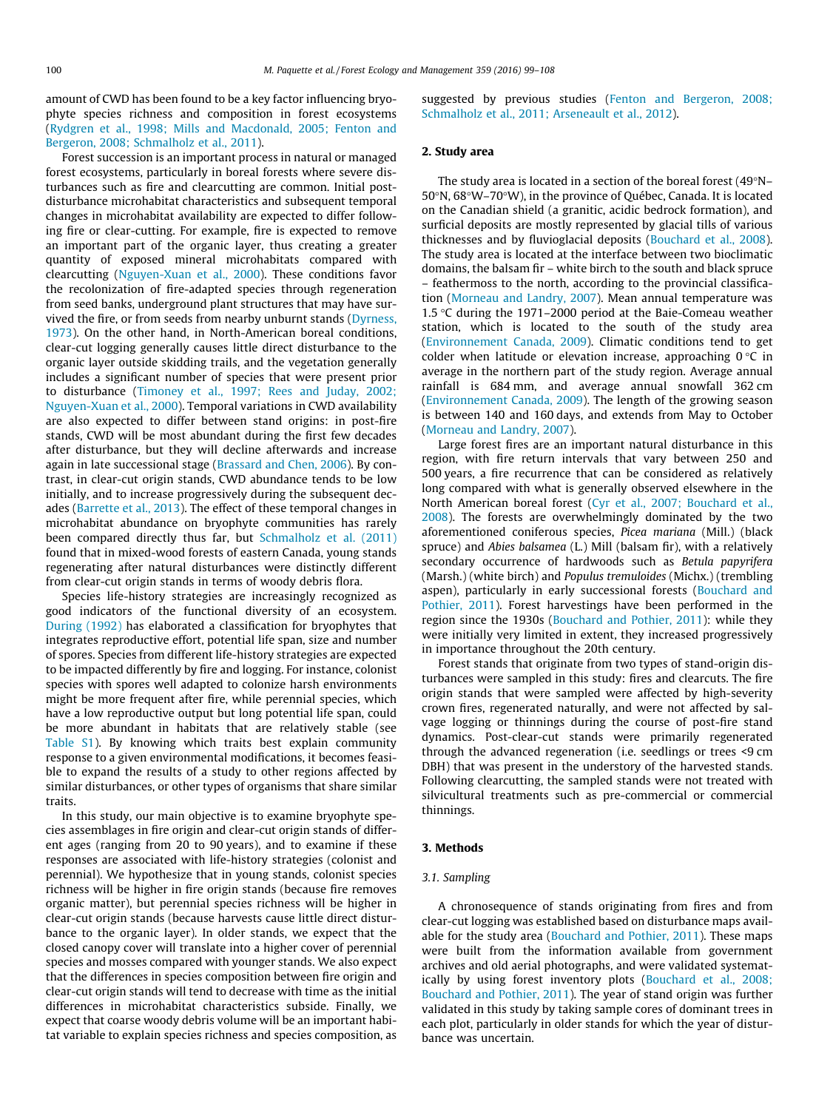<span id="page-1-0"></span>amount of CWD has been found to be a key factor influencing bryophyte species richness and composition in forest ecosystems ([Rydgren et al., 1998; Mills and Macdonald, 2005; Fenton and](#page-9-0) [Bergeron, 2008; Schmalholz et al., 2011\)](#page-9-0).

Forest succession is an important process in natural or managed forest ecosystems, particularly in boreal forests where severe disturbances such as fire and clearcutting are common. Initial postdisturbance microhabitat characteristics and subsequent temporal changes in microhabitat availability are expected to differ following fire or clear-cutting. For example, fire is expected to remove an important part of the organic layer, thus creating a greater quantity of exposed mineral microhabitats compared with clearcutting ([Nguyen-Xuan et al., 2000\)](#page-9-0). These conditions favor the recolonization of fire-adapted species through regeneration from seed banks, underground plant structures that may have survived the fire, or from seeds from nearby unburnt stands ([Dyrness,](#page-8-0) [1973\)](#page-8-0). On the other hand, in North-American boreal conditions, clear-cut logging generally causes little direct disturbance to the organic layer outside skidding trails, and the vegetation generally includes a significant number of species that were present prior to disturbance [\(Timoney et al., 1997; Rees and Juday, 2002;](#page-9-0) [Nguyen-Xuan et al., 2000](#page-9-0)). Temporal variations in CWD availability are also expected to differ between stand origins: in post-fire stands, CWD will be most abundant during the first few decades after disturbance, but they will decline afterwards and increase again in late successional stage [\(Brassard and Chen, 2006](#page-8-0)). By contrast, in clear-cut origin stands, CWD abundance tends to be low initially, and to increase progressively during the subsequent decades ([Barrette et al., 2013\)](#page-8-0). The effect of these temporal changes in microhabitat abundance on bryophyte communities has rarely been compared directly thus far, but [Schmalholz et al. \(2011\)](#page-9-0) found that in mixed-wood forests of eastern Canada, young stands regenerating after natural disturbances were distinctly different from clear-cut origin stands in terms of woody debris flora.

Species life-history strategies are increasingly recognized as good indicators of the functional diversity of an ecosystem. [During \(1992\)](#page-8-0) has elaborated a classification for bryophytes that integrates reproductive effort, potential life span, size and number of spores. Species from different life-history strategies are expected to be impacted differently by fire and logging. For instance, colonist species with spores well adapted to colonize harsh environments might be more frequent after fire, while perennial species, which have a low reproductive output but long potential life span, could be more abundant in habitats that are relatively stable (see Table S1). By knowing which traits best explain community response to a given environmental modifications, it becomes feasible to expand the results of a study to other regions affected by similar disturbances, or other types of organisms that share similar traits.

In this study, our main objective is to examine bryophyte species assemblages in fire origin and clear-cut origin stands of different ages (ranging from 20 to 90 years), and to examine if these responses are associated with life-history strategies (colonist and perennial). We hypothesize that in young stands, colonist species richness will be higher in fire origin stands (because fire removes organic matter), but perennial species richness will be higher in clear-cut origin stands (because harvests cause little direct disturbance to the organic layer). In older stands, we expect that the closed canopy cover will translate into a higher cover of perennial species and mosses compared with younger stands. We also expect that the differences in species composition between fire origin and clear-cut origin stands will tend to decrease with time as the initial differences in microhabitat characteristics subside. Finally, we expect that coarse woody debris volume will be an important habitat variable to explain species richness and species composition, as suggested by previous studies [\(Fenton and Bergeron, 2008;](#page-8-0) [Schmalholz et al., 2011; Arseneault et al., 2012\)](#page-8-0).

## 2. Study area

The study area is located in a section of the boreal forest  $(49°N -$ 50°N, 68°W–70°W), in the province of Québec, Canada. It is located on the Canadian shield (a granitic, acidic bedrock formation), and surficial deposits are mostly represented by glacial tills of various thicknesses and by fluvioglacial deposits [\(Bouchard et al., 2008\)](#page-8-0). The study area is located at the interface between two bioclimatic domains, the balsam fir – white birch to the south and black spruce – feathermoss to the north, according to the provincial classification ([Morneau and Landry, 2007\)](#page-9-0). Mean annual temperature was 1.5  $\degree$ C during the 1971–2000 period at the Baie-Comeau weather station, which is located to the south of the study area ([Environnement Canada, 2009\)](#page-8-0). Climatic conditions tend to get colder when latitude or elevation increase, approaching  $0^{\circ}C$  in average in the northern part of the study region. Average annual rainfall is 684 mm, and average annual snowfall 362 cm ([Environnement Canada, 2009\)](#page-8-0). The length of the growing season is between 140 and 160 days, and extends from May to October ([Morneau and Landry, 2007](#page-9-0)).

Large forest fires are an important natural disturbance in this region, with fire return intervals that vary between 250 and 500 years, a fire recurrence that can be considered as relatively long compared with what is generally observed elsewhere in the North American boreal forest [\(Cyr et al., 2007; Bouchard et al.,](#page-8-0) [2008\)](#page-8-0). The forests are overwhelmingly dominated by the two aforementioned coniferous species, Picea mariana (Mill.) (black spruce) and Abies balsamea (L.) Mill (balsam fir), with a relatively secondary occurrence of hardwoods such as Betula papyrifera (Marsh.) (white birch) and Populus tremuloides (Michx.) (trembling aspen), particularly in early successional forests ([Bouchard and](#page-8-0) [Pothier, 2011](#page-8-0)). Forest harvestings have been performed in the region since the 1930s [\(Bouchard and Pothier, 2011\)](#page-8-0): while they were initially very limited in extent, they increased progressively in importance throughout the 20th century.

Forest stands that originate from two types of stand-origin disturbances were sampled in this study: fires and clearcuts. The fire origin stands that were sampled were affected by high-severity crown fires, regenerated naturally, and were not affected by salvage logging or thinnings during the course of post-fire stand dynamics. Post-clear-cut stands were primarily regenerated through the advanced regeneration (i.e. seedlings or trees <9 cm DBH) that was present in the understory of the harvested stands. Following clearcutting, the sampled stands were not treated with silvicultural treatments such as pre-commercial or commercial thinnings.

# 3. Methods

#### 3.1. Sampling

A chronosequence of stands originating from fires and from clear-cut logging was established based on disturbance maps available for the study area [\(Bouchard and Pothier, 2011](#page-8-0)). These maps were built from the information available from government archives and old aerial photographs, and were validated systematically by using forest inventory plots ([Bouchard et al., 2008;](#page-8-0) [Bouchard and Pothier, 2011](#page-8-0)). The year of stand origin was further validated in this study by taking sample cores of dominant trees in each plot, particularly in older stands for which the year of disturbance was uncertain.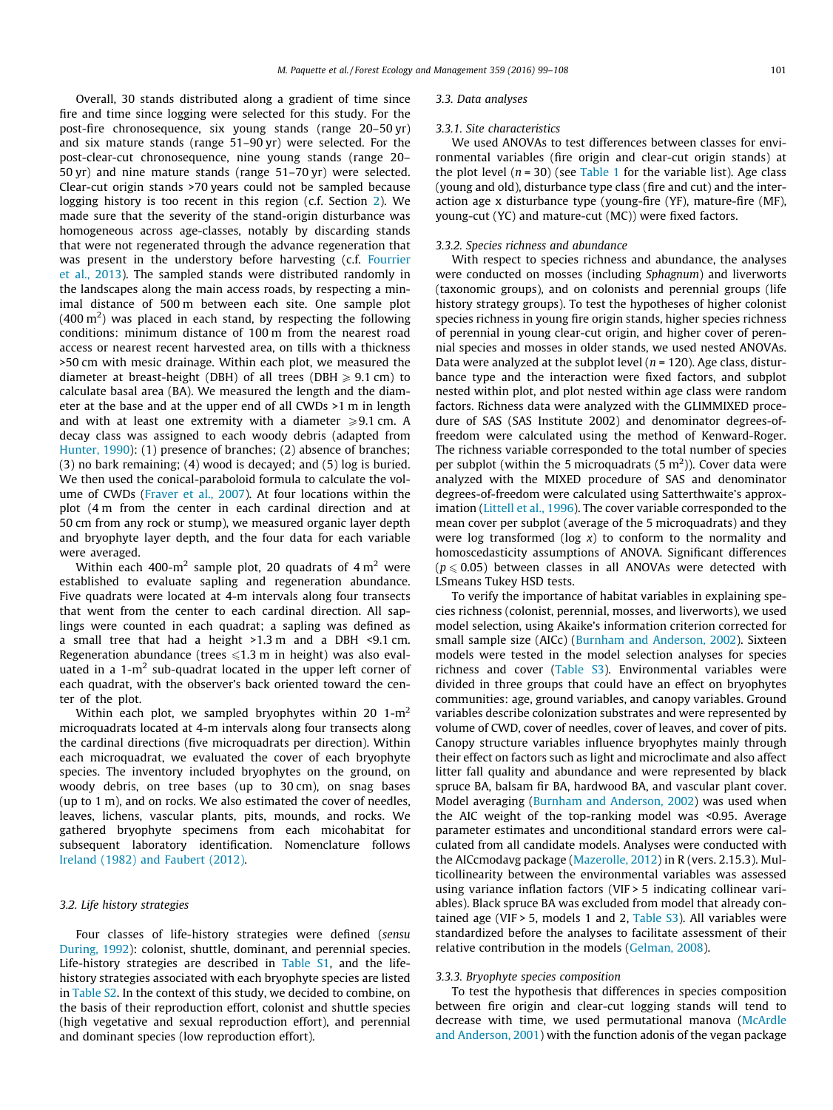Overall, 30 stands distributed along a gradient of time since fire and time since logging were selected for this study. For the post-fire chronosequence, six young stands (range 20–50 yr) and six mature stands (range 51–90 yr) were selected. For the post-clear-cut chronosequence, nine young stands (range 20– 50 yr) and nine mature stands (range 51–70 yr) were selected. Clear-cut origin stands >70 years could not be sampled because logging history is too recent in this region (c.f. Section [2\)](#page-1-0). We made sure that the severity of the stand-origin disturbance was homogeneous across age-classes, notably by discarding stands that were not regenerated through the advance regeneration that was present in the understory before harvesting (c.f. [Fourrier](#page-8-0) [et al., 2013](#page-8-0)). The sampled stands were distributed randomly in the landscapes along the main access roads, by respecting a minimal distance of 500 m between each site. One sample plot  $(400 \text{ m}^2)$  was placed in each stand, by respecting the following conditions: minimum distance of 100 m from the nearest road access or nearest recent harvested area, on tills with a thickness >50 cm with mesic drainage. Within each plot, we measured the diameter at breast-height (DBH) of all trees (DBH  $\ge$  9.1 cm) to calculate basal area (BA). We measured the length and the diameter at the base and at the upper end of all CWDs >1 m in length and with at least one extremity with a diameter  $\geq 9.1$  cm. A decay class was assigned to each woody debris (adapted from [Hunter, 1990\)](#page-9-0): (1) presence of branches; (2) absence of branches; (3) no bark remaining; (4) wood is decayed; and (5) log is buried. We then used the conical-paraboloid formula to calculate the volume of CWDs ([Fraver et al., 2007](#page-8-0)). At four locations within the plot (4 m from the center in each cardinal direction and at 50 cm from any rock or stump), we measured organic layer depth and bryophyte layer depth, and the four data for each variable were averaged.

Within each 400-m<sup>2</sup> sample plot, 20 quadrats of  $4 \text{ m}^2$  were established to evaluate sapling and regeneration abundance. Five quadrats were located at 4-m intervals along four transects that went from the center to each cardinal direction. All saplings were counted in each quadrat; a sapling was defined as a small tree that had a height >1.3 m and a DBH <9.1 cm. Regeneration abundance (trees  $\leq 1.3$  m in height) was also evaluated in a  $1-m^2$  sub-quadrat located in the upper left corner of each quadrat, with the observer's back oriented toward the center of the plot.

Within each plot, we sampled bryophytes within 20  $1-m^2$ microquadrats located at 4-m intervals along four transects along the cardinal directions (five microquadrats per direction). Within each microquadrat, we evaluated the cover of each bryophyte species. The inventory included bryophytes on the ground, on woody debris, on tree bases (up to 30 cm), on snag bases (up to 1 m), and on rocks. We also estimated the cover of needles, leaves, lichens, vascular plants, pits, mounds, and rocks. We gathered bryophyte specimens from each micohabitat for subsequent laboratory identification. Nomenclature follows [Ireland \(1982\) and Faubert \(2012\).](#page-9-0)

### 3.2. Life history strategies

Four classes of life-history strategies were defined (sensu [During, 1992](#page-8-0)): colonist, shuttle, dominant, and perennial species. Life-history strategies are described in Table S1, and the lifehistory strategies associated with each bryophyte species are listed in Table S2. In the context of this study, we decided to combine, on the basis of their reproduction effort, colonist and shuttle species (high vegetative and sexual reproduction effort), and perennial and dominant species (low reproduction effort).

#### 3.3. Data analyses

#### 3.3.1. Site characteristics

We used ANOVAs to test differences between classes for environmental variables (fire origin and clear-cut origin stands) at the plot level  $(n = 30)$  (see [Table 1](#page-3-0) for the variable list). Age class (young and old), disturbance type class (fire and cut) and the interaction age x disturbance type (young-fire (YF), mature-fire (MF), young-cut (YC) and mature-cut (MC)) were fixed factors.

### 3.3.2. Species richness and abundance

With respect to species richness and abundance, the analyses were conducted on mosses (including Sphagnum) and liverworts (taxonomic groups), and on colonists and perennial groups (life history strategy groups). To test the hypotheses of higher colonist species richness in young fire origin stands, higher species richness of perennial in young clear-cut origin, and higher cover of perennial species and mosses in older stands, we used nested ANOVAs. Data were analyzed at the subplot level ( $n = 120$ ). Age class, disturbance type and the interaction were fixed factors, and subplot nested within plot, and plot nested within age class were random factors. Richness data were analyzed with the GLIMMIXED procedure of SAS (SAS Institute 2002) and denominator degrees-offreedom were calculated using the method of Kenward-Roger. The richness variable corresponded to the total number of species per subplot (within the 5 microquadrats  $(5 \text{ m}^2)$ ). Cover data were analyzed with the MIXED procedure of SAS and denominator degrees-of-freedom were calculated using Satterthwaite's approximation ([Littell et al., 1996](#page-9-0)). The cover variable corresponded to the mean cover per subplot (average of the 5 microquadrats) and they were log transformed (log  $x$ ) to conform to the normality and homoscedasticity assumptions of ANOVA. Significant differences ( $p \le 0.05$ ) between classes in all ANOVAs were detected with LSmeans Tukey HSD tests.

To verify the importance of habitat variables in explaining species richness (colonist, perennial, mosses, and liverworts), we used model selection, using Akaike's information criterion corrected for small sample size (AICc) ([Burnham and Anderson, 2002\)](#page-8-0). Sixteen models were tested in the model selection analyses for species richness and cover (Table S3). Environmental variables were divided in three groups that could have an effect on bryophytes communities: age, ground variables, and canopy variables. Ground variables describe colonization substrates and were represented by volume of CWD, cover of needles, cover of leaves, and cover of pits. Canopy structure variables influence bryophytes mainly through their effect on factors such as light and microclimate and also affect litter fall quality and abundance and were represented by black spruce BA, balsam fir BA, hardwood BA, and vascular plant cover. Model averaging [\(Burnham and Anderson, 2002](#page-8-0)) was used when the AIC weight of the top-ranking model was <0.95. Average parameter estimates and unconditional standard errors were calculated from all candidate models. Analyses were conducted with the AICcmodavg package [\(Mazerolle, 2012](#page-9-0)) in R (vers. 2.15.3). Multicollinearity between the environmental variables was assessed using variance inflation factors (VIF > 5 indicating collinear variables). Black spruce BA was excluded from model that already contained age (VIF > 5, models 1 and 2, Table S3). All variables were standardized before the analyses to facilitate assessment of their relative contribution in the models [\(Gelman, 2008](#page-8-0)).

## 3.3.3. Bryophyte species composition

To test the hypothesis that differences in species composition between fire origin and clear-cut logging stands will tend to decrease with time, we used permutational manova ([McArdle](#page-9-0) [and Anderson, 2001](#page-9-0)) with the function adonis of the vegan package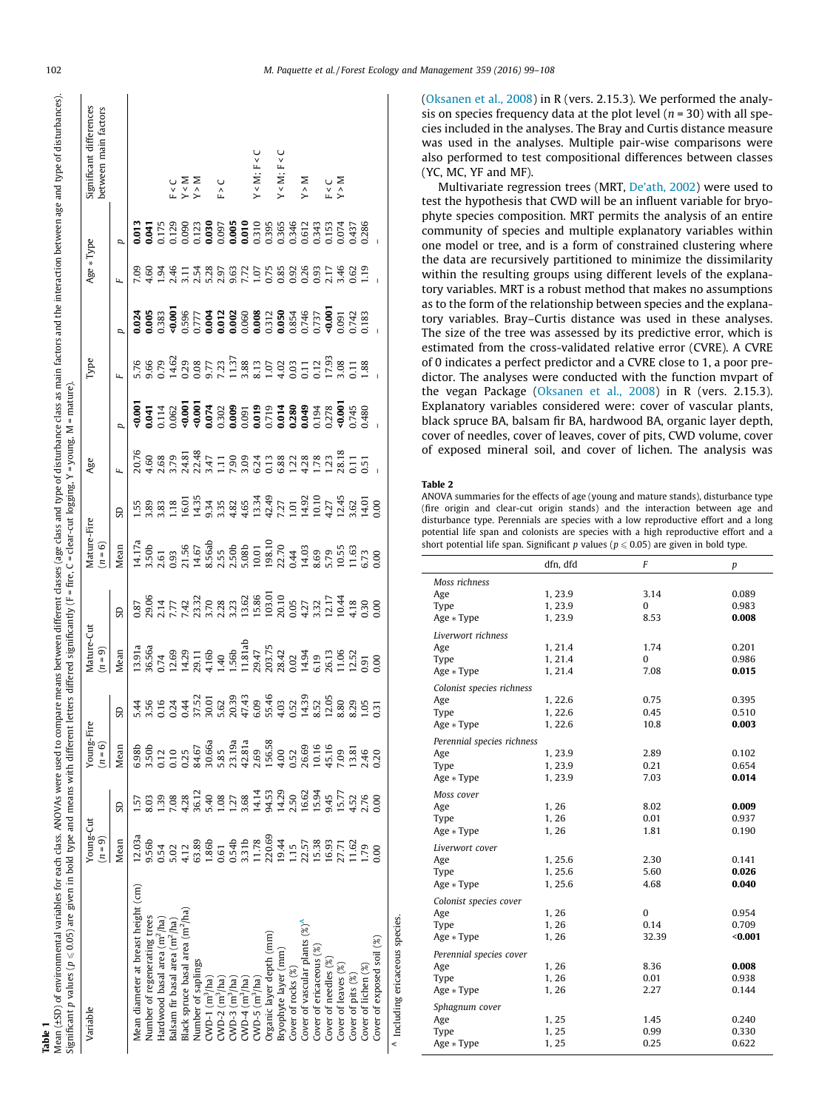s

| Variable                                     | Young-Cut<br>$(n = 9)$                    |                                 | Young-Fire<br>$(n = 6)$ |    | Mature-Cut<br>$(n = 9)$                                                                                                                                                                                                                                                                             |    | Mature-Fire<br>$(n = 6)$                                                                               |    | Age |                                                                                                                                                                                                                                                                                                                                               | Type |                                                                                                                                                                                                                                                                                                               | Age * Type                                                                                       | Significant differences<br>between main factors       |
|----------------------------------------------|-------------------------------------------|---------------------------------|-------------------------|----|-----------------------------------------------------------------------------------------------------------------------------------------------------------------------------------------------------------------------------------------------------------------------------------------------------|----|--------------------------------------------------------------------------------------------------------|----|-----|-----------------------------------------------------------------------------------------------------------------------------------------------------------------------------------------------------------------------------------------------------------------------------------------------------------------------------------------------|------|---------------------------------------------------------------------------------------------------------------------------------------------------------------------------------------------------------------------------------------------------------------------------------------------------------------|--------------------------------------------------------------------------------------------------|-------------------------------------------------------|
|                                              | Mean                                      | SD                              | Mean                    | SD | Mean                                                                                                                                                                                                                                                                                                | GS | Mean                                                                                                   | SD |     |                                                                                                                                                                                                                                                                                                                                               |      |                                                                                                                                                                                                                                                                                                               |                                                                                                  |                                                       |
| Mean diameter at breast height (cm)          | 12.03a                                    | .57                             | 6.98b                   |    | $\begin{array}{l} 13.916 \\ 13.656 \\ 12.69 \\ 13.71 \\ 14.72 \\ 15.69 \\ 16.61 \\ 17.62 \\ 18.73 \\ 19.75 \\ 11.75 \\ 12.75 \\ 13.75 \\ 14.75 \\ 15.75 \\ 16.75 \\ 17.75 \\ 18.75 \\ 19.75 \\ 13.75 \\ 15.75 \\ 16.75 \\ 17.75 \\ 18.75 \\ 19.75 \\ 19.75 \\ 10.75 \\ 11.75 \\ 12.75 \\ 13.75 \\ $ |    | $[4.17403.5052.612.632.642.652.672.682.692.602.602.602.602.602.602.602.602.602.602.602.602.602.602.60$ |    |     |                                                                                                                                                                                                                                                                                                                                               |      |                                                                                                                                                                                                                                                                                                               |                                                                                                  |                                                       |
| Number of regenerating trees                 | 9.56b                                     |                                 |                         |    |                                                                                                                                                                                                                                                                                                     |    |                                                                                                        |    |     |                                                                                                                                                                                                                                                                                                                                               |      |                                                                                                                                                                                                                                                                                                               |                                                                                                  |                                                       |
| Hardwood basal area (m <sup>2</sup> /ha      | 0.54                                      | 39                              |                         |    |                                                                                                                                                                                                                                                                                                     |    |                                                                                                        |    |     |                                                                                                                                                                                                                                                                                                                                               |      |                                                                                                                                                                                                                                                                                                               |                                                                                                  |                                                       |
| Balsam fir basal area (m <sup>2</sup> /ha)   | 5.02                                      | 7.08                            | $\frac{3.50b}{2.12}$    |    |                                                                                                                                                                                                                                                                                                     |    |                                                                                                        |    |     | $\frac{6}{3}$<br>$\frac{14}{3}$<br>$\frac{14}{3}$<br>$\frac{14}{3}$<br>$\frac{14}{3}$<br>$\frac{14}{3}$<br>$\frac{14}{3}$<br>$\frac{14}{3}$<br>$\frac{14}{3}$<br>$\frac{14}{3}$<br>$\frac{14}{3}$<br>$\frac{14}{3}$<br>$\frac{14}{3}$<br>$\frac{14}{3}$<br>$\frac{14}{3}$<br>$\frac{14}{3}$<br>$\frac{14}{3}$<br>$\frac{14}{3}$<br>$\frac{14$ |      | $\begin{array}{l} 0.028 \\ 0.05 \\ 0.33 \\ 0.35 \\ 0.50 \\ 0.07 \\ 0.08 \\ 0.01 \\ 0.01 \\ 0.01 \\ 0.00 \\ 0.00 \\ 0.00 \\ 0.00 \\ 0.00 \\ 0.01 \\ 0.00 \\ 0.01 \\ 0.01 \\ 0.01 \\ 0.01 \\ 0.01 \\ 0.01 \\ 0.01 \\ 0.01 \\ 0.01 \\ 0.01 \\ 0.01 \\ 0.01 \\ 0.01 \\ 0.01 \\ 0.01 \\ 0.01 \\ 0.01 \\ 0.01 \\ 0$ | 000 4 9 1 4 8 6 6 7 6 7 6 7 6 9 0 0 1 7 9 0 1<br>0 4 6 7 7 8 7 8 7 8 7 8 7 8 7 9 0 0 0 1 7 9 0 1 |                                                       |
| Black spruce basal area (m <sup>2</sup> /ha) | 4.12                                      | 4.28                            |                         |    |                                                                                                                                                                                                                                                                                                     |    |                                                                                                        |    |     |                                                                                                                                                                                                                                                                                                                                               |      |                                                                                                                                                                                                                                                                                                               |                                                                                                  | F < N<br>Y < N<br>Y × N<br>F > C<br>F > C             |
| Number of saplings                           | $\frac{63.89}{1.86b}$                     | 36.12                           | 84.67<br>30.66a         |    |                                                                                                                                                                                                                                                                                                     |    |                                                                                                        |    |     |                                                                                                                                                                                                                                                                                                                                               |      |                                                                                                                                                                                                                                                                                                               |                                                                                                  |                                                       |
| $CWD-1$ (m <sup>3</sup> /ha                  |                                           | $5.40$<br>1.08                  |                         |    |                                                                                                                                                                                                                                                                                                     |    |                                                                                                        |    |     |                                                                                                                                                                                                                                                                                                                                               |      |                                                                                                                                                                                                                                                                                                               |                                                                                                  |                                                       |
| $CWD-2$ (m <sup>3</sup> /ha                  |                                           |                                 | 5.85                    |    |                                                                                                                                                                                                                                                                                                     |    |                                                                                                        |    |     |                                                                                                                                                                                                                                                                                                                                               |      |                                                                                                                                                                                                                                                                                                               |                                                                                                  |                                                       |
| $CWD-3$ (m <sup>3</sup> /ha)                 |                                           |                                 | 23.19a                  |    |                                                                                                                                                                                                                                                                                                     |    |                                                                                                        |    |     |                                                                                                                                                                                                                                                                                                                                               |      |                                                                                                                                                                                                                                                                                                               |                                                                                                  |                                                       |
| $CWD-4 (m^3/ha)$                             |                                           | 1.27<br>3.68                    | 42.81a                  |    |                                                                                                                                                                                                                                                                                                     |    |                                                                                                        |    |     |                                                                                                                                                                                                                                                                                                                                               |      |                                                                                                                                                                                                                                                                                                               |                                                                                                  |                                                       |
| $CWD-5$ $(m^3/ha)$                           | 0.54b<br>3.31b<br>11.78<br>19.44<br>11.15 | 14.14<br>94.53<br>14.29<br>2.50 |                         |    |                                                                                                                                                                                                                                                                                                     |    |                                                                                                        |    |     |                                                                                                                                                                                                                                                                                                                                               |      |                                                                                                                                                                                                                                                                                                               |                                                                                                  | $Y < M$ ; $F < C$                                     |
| Organic layer depth (mm)                     |                                           |                                 | 2.69<br>156.58          |    |                                                                                                                                                                                                                                                                                                     |    |                                                                                                        |    |     |                                                                                                                                                                                                                                                                                                                                               |      |                                                                                                                                                                                                                                                                                                               |                                                                                                  |                                                       |
| Bryophyte layer (mm                          |                                           |                                 | 4.00                    |    |                                                                                                                                                                                                                                                                                                     |    |                                                                                                        |    |     |                                                                                                                                                                                                                                                                                                                                               |      |                                                                                                                                                                                                                                                                                                               |                                                                                                  | $\mathsf{I} < \mathsf{M}$ ; $\mathsf{F} < \mathsf{C}$ |
| Cover of rocks (%)                           |                                           |                                 | 0.52                    |    |                                                                                                                                                                                                                                                                                                     |    |                                                                                                        |    |     |                                                                                                                                                                                                                                                                                                                                               |      |                                                                                                                                                                                                                                                                                                               |                                                                                                  |                                                       |
| Cover of vascular plants $(%)^A$             | 22.57                                     | 16.62                           | 26.69                   |    |                                                                                                                                                                                                                                                                                                     |    |                                                                                                        |    |     |                                                                                                                                                                                                                                                                                                                                               |      |                                                                                                                                                                                                                                                                                                               |                                                                                                  | $\mathsf{N} < \mathsf{N}$                             |
| Cover of ericaceous (%                       | 15.38                                     |                                 | 10.16<br>45.16          |    |                                                                                                                                                                                                                                                                                                     |    |                                                                                                        |    |     |                                                                                                                                                                                                                                                                                                                                               |      |                                                                                                                                                                                                                                                                                                               |                                                                                                  |                                                       |
| Cover of needles (%)                         | 16.93                                     | 15.94<br>9.45                   |                         |    |                                                                                                                                                                                                                                                                                                     |    |                                                                                                        |    |     |                                                                                                                                                                                                                                                                                                                                               |      |                                                                                                                                                                                                                                                                                                               |                                                                                                  | $F < C$<br>Y > M                                      |
| Cover of leaves (%)                          | 27.71<br>11.62                            | 15.77                           | 7.09                    |    |                                                                                                                                                                                                                                                                                                     |    |                                                                                                        |    |     |                                                                                                                                                                                                                                                                                                                                               |      |                                                                                                                                                                                                                                                                                                               |                                                                                                  |                                                       |
| Cover of pits $(\%)$                         |                                           | 1.52                            | 13.81                   |    |                                                                                                                                                                                                                                                                                                     |    |                                                                                                        |    |     |                                                                                                                                                                                                                                                                                                                                               |      |                                                                                                                                                                                                                                                                                                               |                                                                                                  |                                                       |
| Cover of lichen (%)                          | <b>1.79</b>                               | 2.76                            | 2.46                    |    |                                                                                                                                                                                                                                                                                                     |    |                                                                                                        |    |     |                                                                                                                                                                                                                                                                                                                                               |      |                                                                                                                                                                                                                                                                                                               |                                                                                                  |                                                       |
| Cover of exposed soil $(\%)$                 | 0.00                                      | 0.00                            | 0.20                    | 31 |                                                                                                                                                                                                                                                                                                     |    |                                                                                                        |    |     |                                                                                                                                                                                                                                                                                                                                               |      |                                                                                                                                                                                                                                                                                                               |                                                                                                  |                                                       |
| A Including ericaceous species               |                                           |                                 |                         |    |                                                                                                                                                                                                                                                                                                     |    |                                                                                                        |    |     |                                                                                                                                                                                                                                                                                                                                               |      |                                                                                                                                                                                                                                                                                                               |                                                                                                  |                                                       |

<span id="page-3-0"></span>102 M. Paquette et al. / Forest Ecology and Management 359 (2016) 99–108

([Oksanen et al., 2008](#page-9-0)) in R (vers. 2.15.3). We performed the analysis on species frequency data at the plot level  $(n = 30)$  with all species included in the analyses. The Bray and Curtis distance measure was used in the analyses. Multiple pair-wise comparisons were also performed to test compositional differences between classes (YC, MC, YF and MF).

Multivariate regression trees (MRT, [De'ath, 2002\)](#page-8-0) were used to test the hypothesis that CWD will be an influent variable for bryophyte species composition. MRT permits the analysis of an entire community of species and multiple explanatory variables within one model or tree, and is a form of constrained clustering where the data are recursively partitioned to minimize the dissimilarity within the resulting groups using different levels of the explanatory variables. MRT is a robust method that makes no assumptions as to the form of the relationship between species and the explanatory variables. Bray–Curtis distance was used in these analyses. The size of the tree was assessed by its predictive error, which is estimated from the cross-validated relative error (CVRE). A CVRE of 0 indicates a perfect predictor and a CVRE close to 1, a poor predictor. The analyses were conducted with the function mvpart of the vegan Package ([Oksanen et al., 2008\)](#page-9-0) in R (vers. 2.15.3). Explanatory variables considered were: cover of vascular plants, black spruce BA, balsam fir BA, hardwood BA, organic layer depth, cover of needles, cover of leaves, cover of pits, CWD volume, cover of exposed mineral soil, and cover of lichen. The analysis was

#### Table 2

ANOVA summaries for the effects of age (young and mature stands), disturbance type (fire origin and clear-cut origin stands) and the interaction between age and disturbance type. Perennials are species with a low reproductive effort and a long potential life span and colonists are species with a high reproductive effort and a short potential life span. Significant p values ( $p \le 0.05$ ) are given in bold type.

|                            | dfn, dfd | F            | p       |
|----------------------------|----------|--------------|---------|
| Moss richness              |          |              |         |
| Age                        | 1, 23.9  | 3.14         | 0.089   |
| Type                       | 1, 23.9  | $\Omega$     | 0.983   |
| Age * Type                 | 1, 23.9  | 8.53         | 0.008   |
| Liverwort richness         |          |              |         |
| Age                        | 1, 21.4  | 1.74         | 0.201   |
| Type                       | 1, 21.4  | 0            | 0.986   |
| Age * Type                 | 1, 21.4  | 7.08         | 0.015   |
| Colonist species richness  |          |              |         |
| Age                        | 1, 22.6  | 0.75         | 0.395   |
| Type                       | 1, 22.6  | 0.45         | 0.510   |
| Age * Type                 | 1, 22.6  | 10.8         | 0.003   |
| Perennial species richness |          |              |         |
| Age                        | 1, 23.9  | 2.89         | 0.102   |
| Type                       | 1, 23.9  | 0.21         | 0.654   |
| Age * Type                 | 1,23.9   | 7.03         | 0.014   |
| Moss cover                 |          |              |         |
| Age                        | 1,26     | 8.02         | 0.009   |
| Type                       | 1,26     | 0.01         | 0.937   |
| Age * Type                 | 1,26     | 1.81         | 0.190   |
| Liverwort cover            |          |              |         |
| Age                        | 1,25.6   | 2.30         | 0.141   |
| Type                       | 1,25.6   | 5.60         | 0.026   |
| Age * Type                 | 1,25.6   | 4.68         | 0.040   |
| Colonist species cover     |          |              |         |
| Age                        | 1,26     | $\mathbf{0}$ | 0.954   |
| Type                       | 1,26     | 0.14         | 0.709   |
| Age * Type                 | 1,26     | 32.39        | $0.001$ |
| Perennial species cover    |          |              |         |
| Age                        | 1,26     | 8.36         | 0.008   |
| Type                       | 1,26     | 0.01         | 0.938   |
| Age * Type                 | 1,26     | 2.27         | 0.144   |
| Sphagnum cover             |          |              |         |
| Age                        | 1, 25    | 1.45         | 0.240   |
| Type                       | 1,25     | 0.99         | 0.330   |
| Age * Type                 | 1,25     | 0.25         | 0.622   |
|                            |          |              |         |

Table 1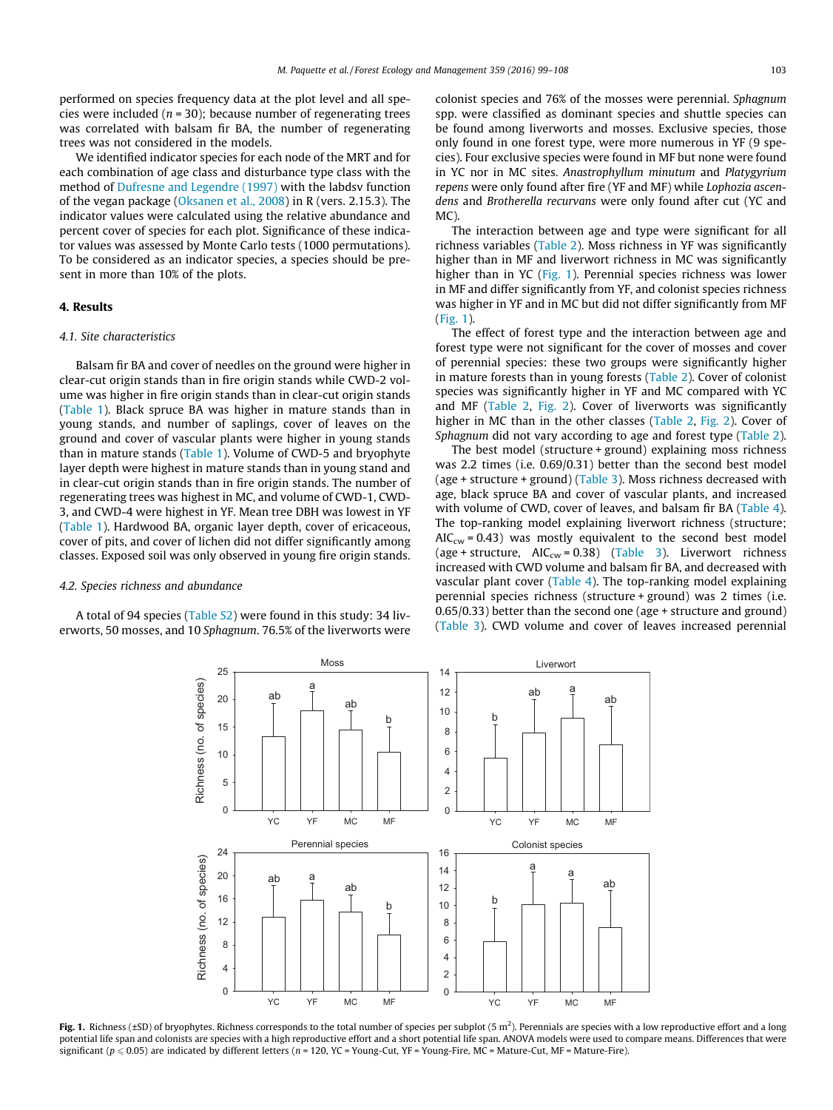performed on species frequency data at the plot level and all species were included ( $n = 30$ ); because number of regenerating trees was correlated with balsam fir BA, the number of regenerating trees was not considered in the models.

We identified indicator species for each node of the MRT and for each combination of age class and disturbance type class with the method of [Dufresne and Legendre \(1997\)](#page-8-0) with the labdsv function of the vegan package ([Oksanen et al., 2008\)](#page-9-0) in R (vers. 2.15.3). The indicator values were calculated using the relative abundance and percent cover of species for each plot. Significance of these indicator values was assessed by Monte Carlo tests (1000 permutations). To be considered as an indicator species, a species should be present in more than 10% of the plots.

# 4. Results

# 4.1. Site characteristics

Balsam fir BA and cover of needles on the ground were higher in clear-cut origin stands than in fire origin stands while CWD-2 volume was higher in fire origin stands than in clear-cut origin stands ([Table 1](#page-3-0)). Black spruce BA was higher in mature stands than in young stands, and number of saplings, cover of leaves on the ground and cover of vascular plants were higher in young stands than in mature stands ([Table 1](#page-3-0)). Volume of CWD-5 and bryophyte layer depth were highest in mature stands than in young stand and in clear-cut origin stands than in fire origin stands. The number of regenerating trees was highest in MC, and volume of CWD-1, CWD-3, and CWD-4 were highest in YF. Mean tree DBH was lowest in YF ([Table 1\)](#page-3-0). Hardwood BA, organic layer depth, cover of ericaceous, cover of pits, and cover of lichen did not differ significantly among classes. Exposed soil was only observed in young fire origin stands.

# 4.2. Species richness and abundance

A total of 94 species (Table S2) were found in this study: 34 liverworts, 50 mosses, and 10 Sphagnum. 76.5% of the liverworts were colonist species and 76% of the mosses were perennial. Sphagnum spp. were classified as dominant species and shuttle species can be found among liverworts and mosses. Exclusive species, those only found in one forest type, were more numerous in YF (9 species). Four exclusive species were found in MF but none were found in YC nor in MC sites. Anastrophyllum minutum and Platygyrium repens were only found after fire (YF and MF) while Lophozia ascendens and Brotherella recurvans were only found after cut (YC and MC).

The interaction between age and type were significant for all richness variables [\(Table 2\)](#page-3-0). Moss richness in YF was significantly higher than in MF and liverwort richness in MC was significantly higher than in YC (Fig. 1). Perennial species richness was lower in MF and differ significantly from YF, and colonist species richness was higher in YF and in MC but did not differ significantly from MF (Fig. 1).

The effect of forest type and the interaction between age and forest type were not significant for the cover of mosses and cover of perennial species: these two groups were significantly higher in mature forests than in young forests [\(Table 2\)](#page-3-0). Cover of colonist species was significantly higher in YF and MC compared with YC and MF [\(Table 2,](#page-3-0) [Fig. 2](#page-5-0)). Cover of liverworts was significantly higher in MC than in the other classes ([Table 2](#page-3-0), [Fig. 2](#page-5-0)). Cover of Sphagnum did not vary according to age and forest type ([Table 2\)](#page-3-0).

The best model (structure + ground) explaining moss richness was 2.2 times (i.e. 0.69/0.31) better than the second best model (age + structure + ground) [\(Table 3](#page-5-0)). Moss richness decreased with age, black spruce BA and cover of vascular plants, and increased with volume of CWD, cover of leaves, and balsam fir BA ([Table 4\)](#page-6-0). The top-ranking model explaining liverwort richness (structure;  $AIC_{cw} = 0.43$ ) was mostly equivalent to the second best model (age + structure,  $AIC_{cw} = 0.38$ ) [\(Table 3\)](#page-5-0). Liverwort richness increased with CWD volume and balsam fir BA, and decreased with vascular plant cover [\(Table 4](#page-6-0)). The top-ranking model explaining perennial species richness (structure + ground) was 2 times (i.e. 0.65/0.33) better than the second one (age + structure and ground) ([Table 3](#page-5-0)). CWD volume and cover of leaves increased perennial



Fig. 1. Richness (±SD) of bryophytes. Richness corresponds to the total number of species per subplot  $(5 \text{ m}^2)$ . Perennials are species with a low reproductive effort and a long potential life span and colonists are species with a high reproductive effort and a short potential life span. ANOVA models were used to compare means. Differences that were significant ( $p \le 0.05$ ) are indicated by different letters ( $n = 120$ , YC = Young-Cut, YF = Young-Fire, MC = Mature-Cut, MF = Mature-Fire).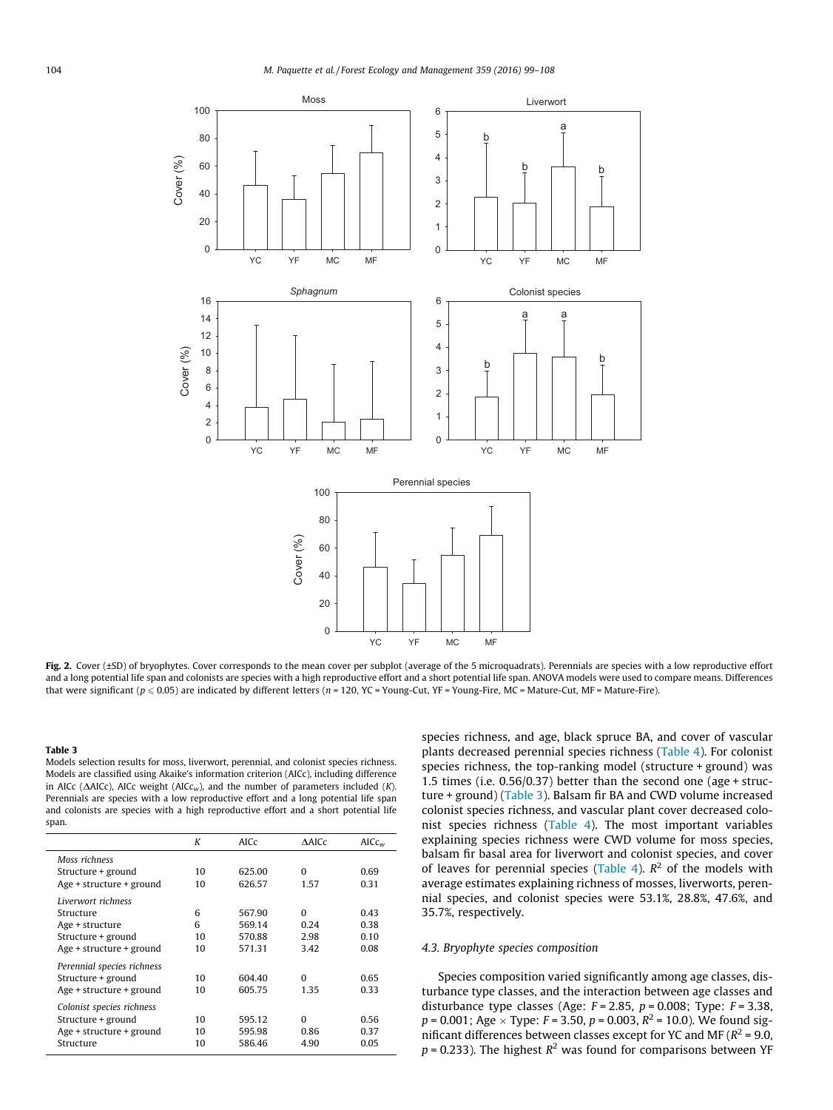<span id="page-5-0"></span>

Fig. 2. Cover (±SD) of bryophytes. Cover corresponds to the mean cover per subplot (average of the 5 microquadrats). Perennials are species with a low reproductive effort and a long potential life span and colonists are species with a high reproductive effort and a short potential life span. ANOVA models were used to compare means. Differences that were significant ( $p \le 0.05$ ) are indicated by different letters ( $n = 120$ , YC = Young-Cut, YF = Young-Fire, MC = Mature-Cut, MF = Mature-Fire).

#### Table 3

Models selection results for moss, liverwort, perennial, and colonist species richness. Models are classified using Akaike's information criterion (AICc), including difference in AICc ( $\Delta$ AICc), AICc weight ( $\text{AICc}_w$ ), and the number of parameters included (K). Perennials are species with a low reproductive effort and a long potential life span and colonists are species with a high reproductive effort and a short potential life span.

|                                                                                                      | K                  | <b>AICc</b>                          | <b>AAICc</b>                     | AICc <sub>w</sub>            |
|------------------------------------------------------------------------------------------------------|--------------------|--------------------------------------|----------------------------------|------------------------------|
| Moss richness<br>Structure + ground<br>Age + structure + ground                                      | 10<br>10           | 625.00<br>626.57                     | $\Omega$<br>1.57                 | 0.69<br>0.31                 |
| Liverwort richness<br>Structure<br>Age + structure<br>Structure + ground<br>Age + structure + ground | 6<br>6<br>10<br>10 | 567.90<br>569.14<br>570.88<br>571.31 | $\Omega$<br>0.24<br>2.98<br>3.42 | 0.43<br>0.38<br>0.10<br>0.08 |
| Perennial species richness<br>Structure + ground<br>Age + structure + ground                         | 10<br>10           | 604.40<br>605.75                     | $\Omega$<br>1.35                 | 0.65<br>0.33                 |
| Colonist species richness<br>Structure + ground<br>Age + structure + ground<br>Structure             | 10<br>10<br>10     | 595.12<br>595.98<br>586.46           | $\Omega$<br>0.86<br>4.90         | 0.56<br>0.37<br>0.05         |

species richness, and age, black spruce BA, and cover of vascular plants decreased perennial species richness ([Table 4\)](#page-6-0). For colonist species richness, the top-ranking model (structure + ground) was 1.5 times (i.e. 0.56/0.37) better than the second one (age + structure + ground) (Table 3). Balsam fir BA and CWD volume increased colonist species richness, and vascular plant cover decreased colonist species richness [\(Table 4\)](#page-6-0). The most important variables explaining species richness were CWD volume for moss species, balsam fir basal area for liverwort and colonist species, and cover of leaves for perennial species ([Table 4](#page-6-0)).  $R^2$  of the models with average estimates explaining richness of mosses, liverworts, perennial species, and colonist species were 53.1%, 28.8%, 47.6%, and 35.7%, respectively.

#### 4.3. Bryophyte species composition

Species composition varied significantly among age classes, disturbance type classes, and the interaction between age classes and disturbance type classes (Age:  $F = 2.85$ ,  $p = 0.008$ ; Type:  $F = 3.38$ ,  $p = 0.001$ ; Age  $\times$  Type:  $F = 3.50$ ,  $p = 0.003$ ,  $R^2 = 10.0$ ). We found significant differences between classes except for YC and MF ( $R^2$  = 9.0,  $p = 0.233$ ). The highest  $R^2$  was found for comparisons between YF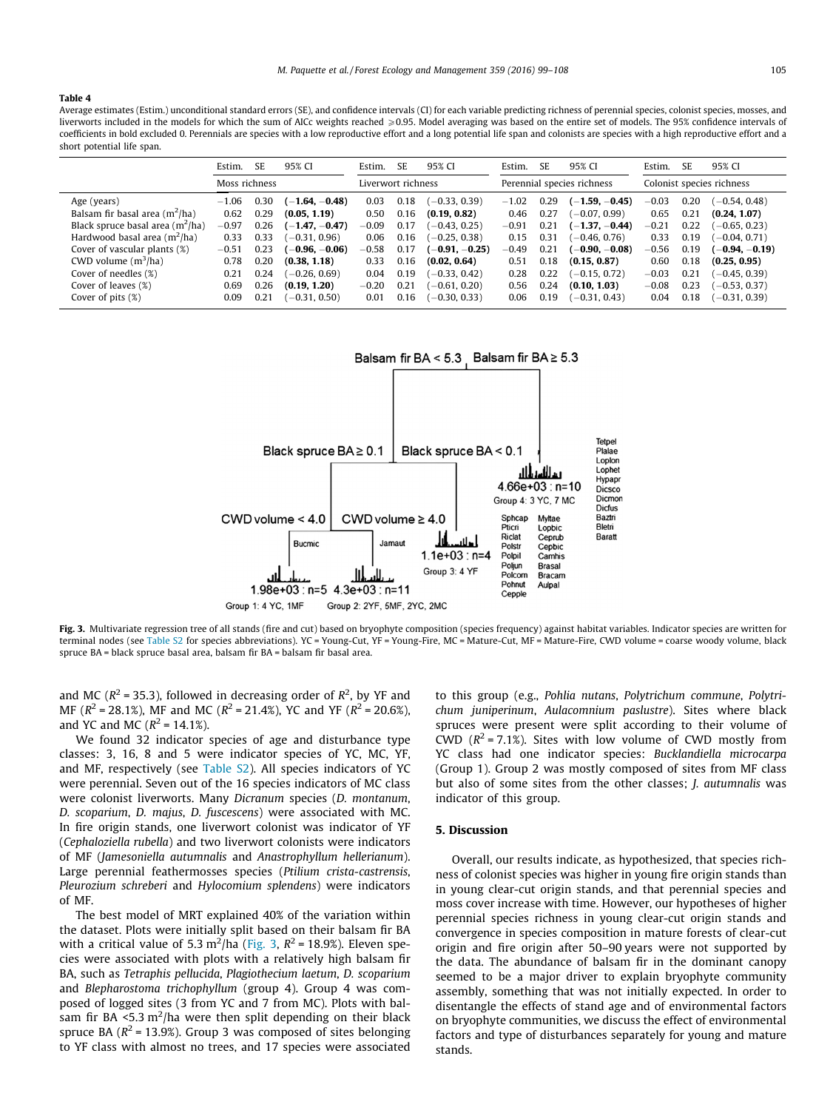#### <span id="page-6-0"></span>Table 4

Average estimates (Estim.) unconditional standard errors (SE), and confidence intervals (CI) for each variable predicting richness of perennial species, colonist species, mosses, and liverworts included in the models for which the sum of AICc weights reached >0.95. Model averaging was based on the entire set of models. The 95% confidence intervals of coefficients in bold excluded 0. Perennials are species with a low reproductive effort and a long potential life span and colonists are species with a high reproductive effort and a short potential life span.

|                                    | Estim.        | SE.  | 95% CI           | Estim.             | SE.  | 95% CI           | Estim.  | <b>SE</b> | 95% CI                     | Estim.  | SE   | 95% CI                    |
|------------------------------------|---------------|------|------------------|--------------------|------|------------------|---------|-----------|----------------------------|---------|------|---------------------------|
|                                    | Moss richness |      |                  | Liverwort richness |      |                  |         |           | Perennial species richness |         |      | Colonist species richness |
| Age (years)                        | $-1.06$       | 0.30 | $(-1.64, -0.48)$ | 0.03               | 0.18 | $(-0.33, 0.39)$  | $-1.02$ | 0.29      | $(-1.59, -0.45)$           | $-0.03$ | 0.20 | $(-0.54, 0.48)$           |
| Balsam fir basal area $(m^2/ha)$   | 0.62          | 0.29 | (0.05, 1.19)     | 0.50               | 0.16 | (0.19, 0.82)     | 0.46    | 0.27      | $(-0.07, 0.99)$            | 0.65    | 0.21 | (0.24, 1.07)              |
| Black spruce basal area $(m^2/ha)$ | $-0.97$       | 0.26 | $(-1.47, -0.47)$ | $-0.09$            | 0.17 | $(-0.43, 0.25)$  | $-0.91$ | 0.21      | $(-1.37, -0.44)$           | $-0.21$ | 0.22 | $(-0.65, 0.23)$           |
| Hardwood basal area $(m^2/ha)$     | 0.33          | 0.33 | $(-0.31, 0.96)$  | 0.06               | 0.16 | $(-0.25, 0.38)$  | 0.15    | 0.31      | $(-0.46, 0.76)$            | 0.33    | 0.19 | $(-0.04, 0.71)$           |
| Cover of vascular plants (%)       | $-0.51$       | 0.23 | $(-0.96, -0.06)$ | $-0.58$            | 0.17 | $(-0.91, -0.25)$ | $-0.49$ | 0.21      | $(-0.90, -0.08)$           | $-0.56$ | 0.19 | $-0.94, -0.19$            |
| CWD volume $(m^3/ha)$              | 0.78          | 0.20 | (0.38, 1.18)     | 0.33               | 0.16 | (0.02, 0.64)     | 0.51    | 0.18      | (0.15, 0.87)               | 0.60    | 0.18 | (0.25, 0.95)              |
| Cover of needles (%)               | 0.21          | 0.24 | $(-0.26, 0.69)$  | 0.04               | 0.19 | $(-0.33, 0.42)$  | 0.28    | 0.22      | $(-0.15, 0.72)$            | $-0.03$ | 0.21 | $(-0.45, 0.39)$           |
| Cover of leaves (%)                | 0.69          | 0.26 | (0.19, 1.20)     | $-0.20$            | 0.21 | $(-0.61, 0.20)$  | 0.56    | 0.24      | (0.10, 1.03)               | $-0.08$ | 0.23 | $(-0.53, 0.37)$           |
| Cover of pits $(\%)$               | 0.09          | 0.21 | $(-0.31, 0.50)$  | 0.01               | 0.16 | $(-0.30, 0.33)$  | 0.06    | 0.19      | $(-0.31, 0.43)$            | 0.04    | 0.18 | $(-0.31, 0.39)$           |



Fig. 3. Multivariate regression tree of all stands (fire and cut) based on bryophyte composition (species frequency) against habitat variables. Indicator species are written for terminal nodes (see Table S2 for species abbreviations). YC = Young-Cut, YF = Young-Fire, MC = Mature-Cut, MF = Mature-Fire, CWD volume = coarse woody volume, black spruce BA = black spruce basal area, balsam fir BA = balsam fir basal area.

and MC ( $R^2$  = 35.3), followed in decreasing order of  $R^2$ , by YF and MF ( $R^2$  = 28.1%), MF and MC ( $R^2$  = 21.4%), YC and YF ( $R^2$  = 20.6%), and YC and MC ( $R^2$  = 14.1%).

We found 32 indicator species of age and disturbance type classes: 3, 16, 8 and 5 were indicator species of YC, MC, YF, and MF, respectively (see Table S2). All species indicators of YC were perennial. Seven out of the 16 species indicators of MC class were colonist liverworts. Many Dicranum species (D. montanum, D. scoparium, D. majus, D. fuscescens) were associated with MC. In fire origin stands, one liverwort colonist was indicator of YF (Cephaloziella rubella) and two liverwort colonists were indicators of MF (Jamesoniella autumnalis and Anastrophyllum hellerianum). Large perennial feathermosses species (Ptilium crista-castrensis, Pleurozium schreberi and Hylocomium splendens) were indicators of MF.

The best model of MRT explained 40% of the variation within the dataset. Plots were initially split based on their balsam fir BA with a critical value of 5.3 m<sup>2</sup>/ha (Fig. 3,  $R^2$  = 18.9%). Eleven species were associated with plots with a relatively high balsam fir BA, such as Tetraphis pellucida, Plagiothecium laetum, D. scoparium and Blepharostoma trichophyllum (group 4). Group 4 was composed of logged sites (3 from YC and 7 from MC). Plots with balsam fir BA <5.3 m<sup>2</sup>/ha were then split depending on their black spruce BA ( $R^2$  = 13.9%). Group 3 was composed of sites belonging to YF class with almost no trees, and 17 species were associated to this group (e.g., Pohlia nutans, Polytrichum commune, Polytrichum juniperinum, Aulacomnium paslustre). Sites where black spruces were present were split according to their volume of CWD ( $R^2$  = 7.1%). Sites with low volume of CWD mostly from YC class had one indicator species: Bucklandiella microcarpa (Group 1). Group 2 was mostly composed of sites from MF class but also of some sites from the other classes; J. autumnalis was indicator of this group.

#### 5. Discussion

Overall, our results indicate, as hypothesized, that species richness of colonist species was higher in young fire origin stands than in young clear-cut origin stands, and that perennial species and moss cover increase with time. However, our hypotheses of higher perennial species richness in young clear-cut origin stands and convergence in species composition in mature forests of clear-cut origin and fire origin after 50–90 years were not supported by the data. The abundance of balsam fir in the dominant canopy seemed to be a major driver to explain bryophyte community assembly, something that was not initially expected. In order to disentangle the effects of stand age and of environmental factors on bryophyte communities, we discuss the effect of environmental factors and type of disturbances separately for young and mature stands.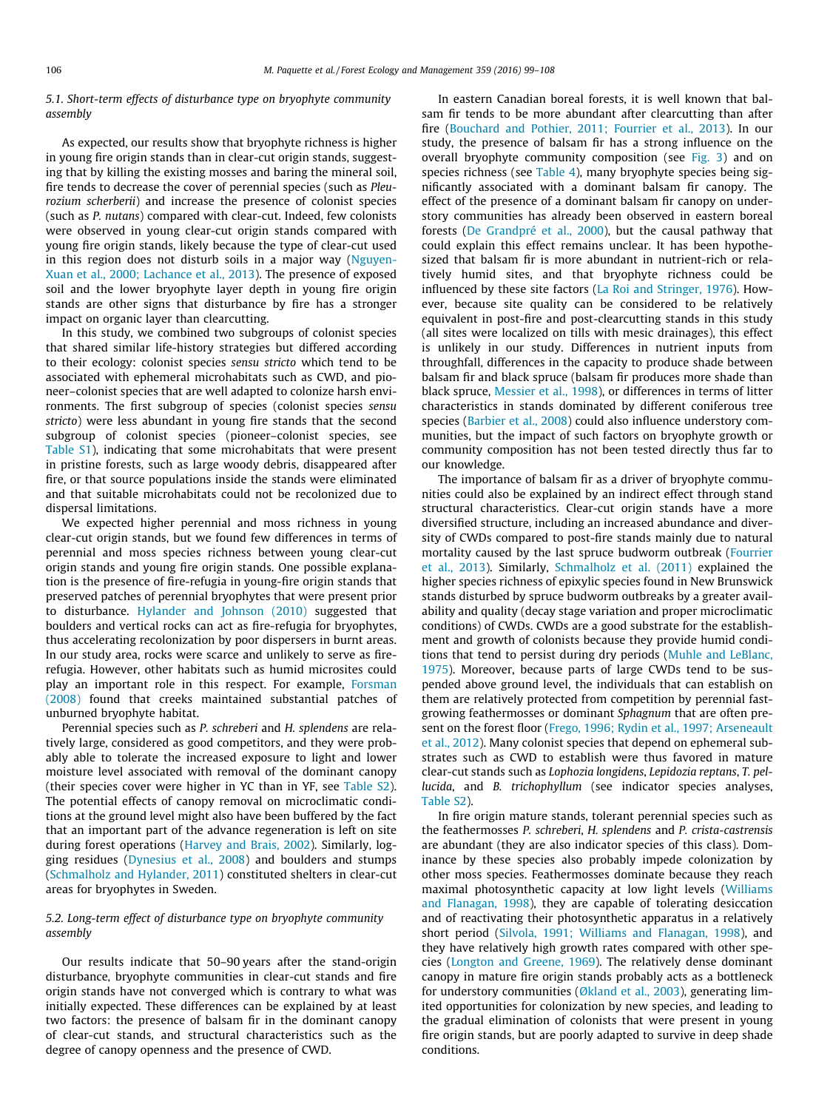## 5.1. Short-term effects of disturbance type on bryophyte community assembly

As expected, our results show that bryophyte richness is higher in young fire origin stands than in clear-cut origin stands, suggesting that by killing the existing mosses and baring the mineral soil, fire tends to decrease the cover of perennial species (such as Pleurozium scherberii) and increase the presence of colonist species (such as P. nutans) compared with clear-cut. Indeed, few colonists were observed in young clear-cut origin stands compared with young fire origin stands, likely because the type of clear-cut used in this region does not disturb soils in a major way [\(Nguyen-](#page-9-0)[Xuan et al., 2000; Lachance et al., 2013](#page-9-0)). The presence of exposed soil and the lower bryophyte layer depth in young fire origin stands are other signs that disturbance by fire has a stronger impact on organic layer than clearcutting.

In this study, we combined two subgroups of colonist species that shared similar life-history strategies but differed according to their ecology: colonist species sensu stricto which tend to be associated with ephemeral microhabitats such as CWD, and pioneer–colonist species that are well adapted to colonize harsh environments. The first subgroup of species (colonist species sensu stricto) were less abundant in young fire stands that the second subgroup of colonist species (pioneer–colonist species, see Table S1), indicating that some microhabitats that were present in pristine forests, such as large woody debris, disappeared after fire, or that source populations inside the stands were eliminated and that suitable microhabitats could not be recolonized due to dispersal limitations.

We expected higher perennial and moss richness in young clear-cut origin stands, but we found few differences in terms of perennial and moss species richness between young clear-cut origin stands and young fire origin stands. One possible explanation is the presence of fire-refugia in young-fire origin stands that preserved patches of perennial bryophytes that were present prior to disturbance. [Hylander and Johnson \(2010\)](#page-9-0) suggested that boulders and vertical rocks can act as fire-refugia for bryophytes, thus accelerating recolonization by poor dispersers in burnt areas. In our study area, rocks were scarce and unlikely to serve as firerefugia. However, other habitats such as humid microsites could play an important role in this respect. For example, [Forsman](#page-8-0) [\(2008\)](#page-8-0) found that creeks maintained substantial patches of unburned bryophyte habitat.

Perennial species such as P. schreberi and H. splendens are relatively large, considered as good competitors, and they were probably able to tolerate the increased exposure to light and lower moisture level associated with removal of the dominant canopy (their species cover were higher in YC than in YF, see Table S2). The potential effects of canopy removal on microclimatic conditions at the ground level might also have been buffered by the fact that an important part of the advance regeneration is left on site during forest operations ([Harvey and Brais, 2002\)](#page-9-0). Similarly, logging residues ([Dynesius et al., 2008](#page-8-0)) and boulders and stumps ([Schmalholz and Hylander, 2011\)](#page-9-0) constituted shelters in clear-cut areas for bryophytes in Sweden.

## 5.2. Long-term effect of disturbance type on bryophyte community assembly

Our results indicate that 50–90 years after the stand-origin disturbance, bryophyte communities in clear-cut stands and fire origin stands have not converged which is contrary to what was initially expected. These differences can be explained by at least two factors: the presence of balsam fir in the dominant canopy of clear-cut stands, and structural characteristics such as the degree of canopy openness and the presence of CWD.

In eastern Canadian boreal forests, it is well known that balsam fir tends to be more abundant after clearcutting than after fire ([Bouchard and Pothier, 2011; Fourrier et al., 2013](#page-8-0)). In our study, the presence of balsam fir has a strong influence on the overall bryophyte community composition (see [Fig. 3](#page-6-0)) and on species richness (see [Table 4\)](#page-6-0), many bryophyte species being significantly associated with a dominant balsam fir canopy. The effect of the presence of a dominant balsam fir canopy on understory communities has already been observed in eastern boreal forests ([De Grandpré et al., 2000\)](#page-8-0), but the causal pathway that could explain this effect remains unclear. It has been hypothesized that balsam fir is more abundant in nutrient-rich or relatively humid sites, and that bryophyte richness could be influenced by these site factors [\(La Roi and Stringer, 1976\)](#page-9-0). However, because site quality can be considered to be relatively equivalent in post-fire and post-clearcutting stands in this study (all sites were localized on tills with mesic drainages), this effect is unlikely in our study. Differences in nutrient inputs from throughfall, differences in the capacity to produce shade between balsam fir and black spruce (balsam fir produces more shade than black spruce, [Messier et al., 1998\)](#page-9-0), or differences in terms of litter characteristics in stands dominated by different coniferous tree species [\(Barbier et al., 2008\)](#page-8-0) could also influence understory communities, but the impact of such factors on bryophyte growth or community composition has not been tested directly thus far to our knowledge.

The importance of balsam fir as a driver of bryophyte communities could also be explained by an indirect effect through stand structural characteristics. Clear-cut origin stands have a more diversified structure, including an increased abundance and diversity of CWDs compared to post-fire stands mainly due to natural mortality caused by the last spruce budworm outbreak [\(Fourrier](#page-8-0) [et al., 2013](#page-8-0)). Similarly, [Schmalholz et al. \(2011\)](#page-9-0) explained the higher species richness of epixylic species found in New Brunswick stands disturbed by spruce budworm outbreaks by a greater availability and quality (decay stage variation and proper microclimatic conditions) of CWDs. CWDs are a good substrate for the establishment and growth of colonists because they provide humid conditions that tend to persist during dry periods ([Muhle and LeBlanc,](#page-9-0) [1975\)](#page-9-0). Moreover, because parts of large CWDs tend to be suspended above ground level, the individuals that can establish on them are relatively protected from competition by perennial fastgrowing feathermosses or dominant Sphagnum that are often present on the forest floor ([Frego, 1996; Rydin et al., 1997; Arseneault](#page-8-0) [et al., 2012\)](#page-8-0). Many colonist species that depend on ephemeral substrates such as CWD to establish were thus favored in mature clear-cut stands such as Lophozia longidens, Lepidozia reptans, T. pellucida, and B. trichophyllum (see indicator species analyses, Table S2).

In fire origin mature stands, tolerant perennial species such as the feathermosses P. schreberi, H. splendens and P. crista-castrensis are abundant (they are also indicator species of this class). Dominance by these species also probably impede colonization by other moss species. Feathermosses dominate because they reach maximal photosynthetic capacity at low light levels ([Williams](#page-9-0) [and Flanagan, 1998\)](#page-9-0), they are capable of tolerating desiccation and of reactivating their photosynthetic apparatus in a relatively short period [\(Silvola, 1991; Williams and Flanagan, 1998\)](#page-9-0), and they have relatively high growth rates compared with other species ([Longton and Greene, 1969\)](#page-9-0). The relatively dense dominant canopy in mature fire origin stands probably acts as a bottleneck for understory communities ([Økland et al., 2003](#page-9-0)), generating limited opportunities for colonization by new species, and leading to the gradual elimination of colonists that were present in young fire origin stands, but are poorly adapted to survive in deep shade conditions.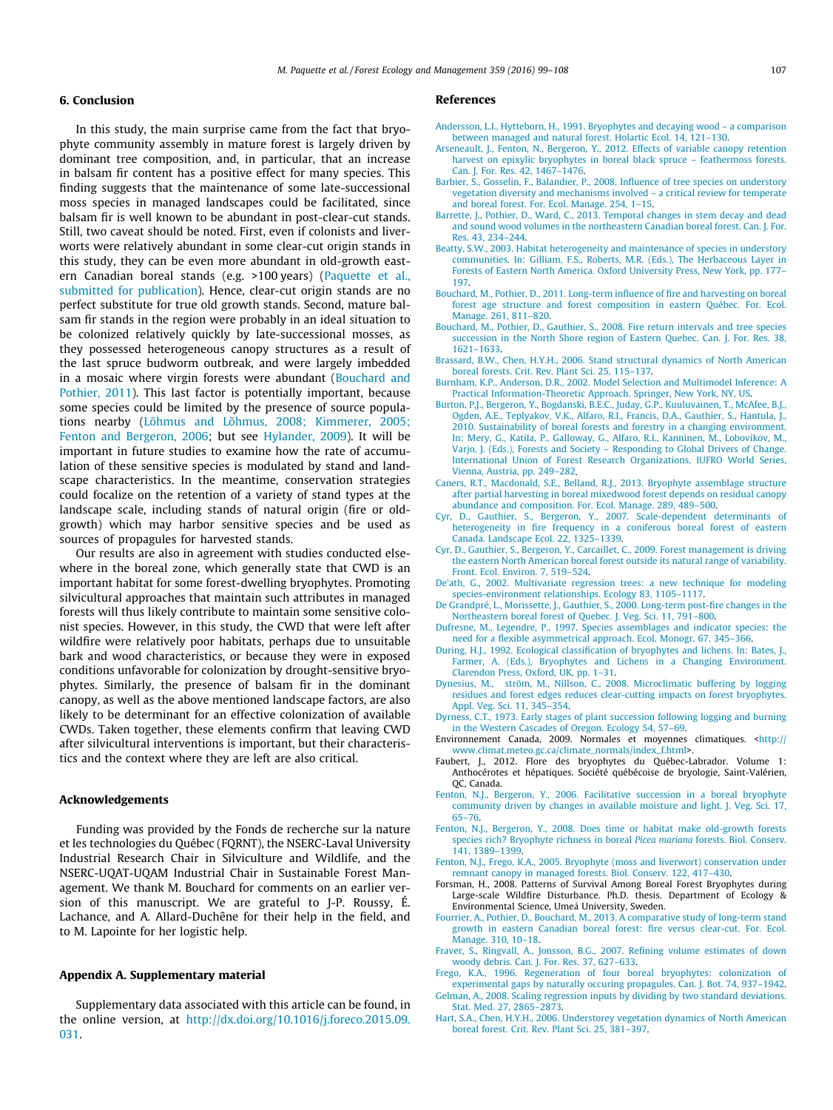# <span id="page-8-0"></span>6. Conclusion

In this study, the main surprise came from the fact that bryophyte community assembly in mature forest is largely driven by dominant tree composition, and, in particular, that an increase in balsam fir content has a positive effect for many species. This finding suggests that the maintenance of some late-successional moss species in managed landscapes could be facilitated, since balsam fir is well known to be abundant in post-clear-cut stands. Still, two caveat should be noted. First, even if colonists and liverworts were relatively abundant in some clear-cut origin stands in this study, they can be even more abundant in old-growth eastern Canadian boreal stands (e.g. >100 years) ([Paquette et al.,](#page-9-0) [submitted for publication](#page-9-0)). Hence, clear-cut origin stands are no perfect substitute for true old growth stands. Second, mature balsam fir stands in the region were probably in an ideal situation to be colonized relatively quickly by late-successional mosses, as they possessed heterogeneous canopy structures as a result of the last spruce budworm outbreak, and were largely imbedded in a mosaic where virgin forests were abundant (Bouchard and Pothier, 2011). This last factor is potentially important, because some species could be limited by the presence of source populations nearby [\(Lõhmus and Lõhmus, 2008; Kimmerer, 2005;](#page-9-0) [Fenton and Bergeron, 2006;](#page-9-0) but see [Hylander, 2009\)](#page-9-0). It will be important in future studies to examine how the rate of accumulation of these sensitive species is modulated by stand and landscape characteristics. In the meantime, conservation strategies could focalize on the retention of a variety of stand types at the landscape scale, including stands of natural origin (fire or oldgrowth) which may harbor sensitive species and be used as sources of propagules for harvested stands.

Our results are also in agreement with studies conducted elsewhere in the boreal zone, which generally state that CWD is an important habitat for some forest-dwelling bryophytes. Promoting silvicultural approaches that maintain such attributes in managed forests will thus likely contribute to maintain some sensitive colonist species. However, in this study, the CWD that were left after wildfire were relatively poor habitats, perhaps due to unsuitable bark and wood characteristics, or because they were in exposed conditions unfavorable for colonization by drought-sensitive bryophytes. Similarly, the presence of balsam fir in the dominant canopy, as well as the above mentioned landscape factors, are also likely to be determinant for an effective colonization of available CWDs. Taken together, these elements confirm that leaving CWD after silvicultural interventions is important, but their characteristics and the context where they are left are also critical.

#### Acknowledgements

Funding was provided by the Fonds de recherche sur la nature et les technologies du Québec (FQRNT), the NSERC-Laval University Industrial Research Chair in Silviculture and Wildlife, and the NSERC-UQAT-UQAM Industrial Chair in Sustainable Forest Management. We thank M. Bouchard for comments on an earlier version of this manuscript. We are grateful to J-P. Roussy, É. Lachance, and A. Allard-Duchêne for their help in the field, and to M. Lapointe for her logistic help.

## Appendix A. Supplementary material

Supplementary data associated with this article can be found, in the online version, at [http://dx.doi.org/10.1016/j.foreco.2015.09.](http://dx.doi.org/10.1016/j.foreco.2015.09.031) [031.](http://dx.doi.org/10.1016/j.foreco.2015.09.031)

#### References

- [Andersson, L.I., Hytteborn, H., 1991. Bryophytes and decaying wood a comparison](http://refhub.elsevier.com/S0378-1127(15)00526-5/h0005) [between managed and natural forest. Holartic Ecol. 14, 121–130](http://refhub.elsevier.com/S0378-1127(15)00526-5/h0005).
- [Arseneault, J., Fenton, N., Bergeron, Y., 2012. Effects of variable canopy retention](http://refhub.elsevier.com/S0378-1127(15)00526-5/h0010) [harvest on epixylic bryophytes in boreal black spruce – feathermoss forests.](http://refhub.elsevier.com/S0378-1127(15)00526-5/h0010) [Can. J. For. Res. 42, 1467–1476](http://refhub.elsevier.com/S0378-1127(15)00526-5/h0010).
- [Barbier, S., Gosselin, F., Balandier, P., 2008. Influence of tree species on understory](http://refhub.elsevier.com/S0378-1127(15)00526-5/h0015) [vegetation diversity and mechanisms involved – a critical review for temperate](http://refhub.elsevier.com/S0378-1127(15)00526-5/h0015) [and boreal forest. For. Ecol. Manage. 254, 1–15](http://refhub.elsevier.com/S0378-1127(15)00526-5/h0015).
- [Barrette, J., Pothier, D., Ward, C., 2013. Temporal changes in stem decay and dead](http://refhub.elsevier.com/S0378-1127(15)00526-5/h0020) [and sound wood volumes in the northeastern Canadian boreal forest. Can. J. For.](http://refhub.elsevier.com/S0378-1127(15)00526-5/h0020) [Res. 43, 234–244.](http://refhub.elsevier.com/S0378-1127(15)00526-5/h0020)
- [Beatty, S.W., 2003. Habitat heterogeneity and maintenance of species in understory](http://refhub.elsevier.com/S0378-1127(15)00526-5/h0025) [communities. In: Gilliam, F.S., Roberts, M.R. \(Eds.\), The Herbaceous Layer in](http://refhub.elsevier.com/S0378-1127(15)00526-5/h0025) [Forests of Eastern North America. Oxford University Press, New York, pp. 177–](http://refhub.elsevier.com/S0378-1127(15)00526-5/h0025) [197.](http://refhub.elsevier.com/S0378-1127(15)00526-5/h0025)
- [Bouchard, M., Pothier, D., 2011. Long-term influence of fire and harvesting on boreal](http://refhub.elsevier.com/S0378-1127(15)00526-5/h0035) [forest age structure and forest composition in eastern Québec. For. Ecol.](http://refhub.elsevier.com/S0378-1127(15)00526-5/h0035) [Manage. 261, 811–820.](http://refhub.elsevier.com/S0378-1127(15)00526-5/h0035)
- [Bouchard, M., Pothier, D., Gauthier, S., 2008. Fire return intervals and tree species](http://refhub.elsevier.com/S0378-1127(15)00526-5/h9000) [succession in the North Shore region of Eastern Quebec. Can. J. For. Res. 38,](http://refhub.elsevier.com/S0378-1127(15)00526-5/h9000) [1621–1633.](http://refhub.elsevier.com/S0378-1127(15)00526-5/h9000)
- [Brassard, B.W., Chen, H.Y.H., 2006. Stand structural dynamics of North American](http://refhub.elsevier.com/S0378-1127(15)00526-5/h0040) [boreal forests. Crit. Rev. Plant Sci. 25, 115–137.](http://refhub.elsevier.com/S0378-1127(15)00526-5/h0040)
- [Burnham, K.P., Anderson, D.R., 2002. Model Selection and Multimodel Inference: A](http://refhub.elsevier.com/S0378-1127(15)00526-5/h0045) [Practical Information-Theoretic Approach. Springer, New York, NY, US.](http://refhub.elsevier.com/S0378-1127(15)00526-5/h0045)
- [Burton, P.J., Bergeron, Y., Bogdanski, B.E.C., Juday, G.P., Kuuluvainen, T., McAfee, B.J.,](http://refhub.elsevier.com/S0378-1127(15)00526-5/h0050) [Ogden, A.E., Teplyakov, V.K., Alfaro, R.I., Francis, D.A., Gauthier, S., Hantula, J.,](http://refhub.elsevier.com/S0378-1127(15)00526-5/h0050) [2010. Sustainability of boreal forests and forestry in a changing environment.](http://refhub.elsevier.com/S0378-1127(15)00526-5/h0050) [In: Mery, G., Katila, P., Galloway, G., Alfaro, R.I., Kanninen, M., Lobovikov, M.,](http://refhub.elsevier.com/S0378-1127(15)00526-5/h0050) [Varjo, J. \(Eds.\), Forests and Society – Responding to Global Drivers of Change.](http://refhub.elsevier.com/S0378-1127(15)00526-5/h0050) [International Union of Forest Research Organizations, IUFRO World Series,](http://refhub.elsevier.com/S0378-1127(15)00526-5/h0050) [Vienna, Austria, pp. 249–282.](http://refhub.elsevier.com/S0378-1127(15)00526-5/h0050)
- [Caners, R.T., Macdonald, S.E., Belland, R.J., 2013. Bryophyte assemblage structure](http://refhub.elsevier.com/S0378-1127(15)00526-5/h0055) [after partial harvesting in boreal mixedwood forest depends on residual canopy](http://refhub.elsevier.com/S0378-1127(15)00526-5/h0055) [abundance and composition. For. Ecol. Manage. 289, 489–500.](http://refhub.elsevier.com/S0378-1127(15)00526-5/h0055)
- [Cyr, D., Gauthier, S., Bergeron, Y., 2007. Scale-dependent determinants of](http://refhub.elsevier.com/S0378-1127(15)00526-5/h0060) [heterogeneity in fire frequency in a coniferous boreal forest of eastern](http://refhub.elsevier.com/S0378-1127(15)00526-5/h0060) [Canada. Landscape Ecol. 22, 1325–1339](http://refhub.elsevier.com/S0378-1127(15)00526-5/h0060).
- [Cyr, D., Gauthier, S., Bergeron, Y., Carcaillet, C., 2009. Forest management is driving](http://refhub.elsevier.com/S0378-1127(15)00526-5/h0065) [the eastern North American boreal forest outside its natural range of variability.](http://refhub.elsevier.com/S0378-1127(15)00526-5/h0065) [Front. Ecol. Environ. 7, 519–524.](http://refhub.elsevier.com/S0378-1127(15)00526-5/h0065)
- [De'ath, G., 2002. Multivariate regression trees: a new technique for modeling](http://refhub.elsevier.com/S0378-1127(15)00526-5/h0070) [species-environment relationships. Ecology 83, 1105–1117.](http://refhub.elsevier.com/S0378-1127(15)00526-5/h0070)
- [De Grandpré, L., Morissette, J., Gauthier, S., 2000. Long-term post-fire changes in the](http://refhub.elsevier.com/S0378-1127(15)00526-5/h0075) [Northeastern boreal forest of Quebec. J. Veg. Sci. 11, 791–800.](http://refhub.elsevier.com/S0378-1127(15)00526-5/h0075)
- [Dufresne, M., Legendre, P., 1997. Species assemblages and indicator species: the](http://refhub.elsevier.com/S0378-1127(15)00526-5/h0080) [need for a flexible asymmetrical approach. Ecol. Monogr. 67, 345–366](http://refhub.elsevier.com/S0378-1127(15)00526-5/h0080).
- [During, H.J., 1992. Ecological classification of bryophytes and lichens. In: Bates, J.,](http://refhub.elsevier.com/S0378-1127(15)00526-5/h0085) [Farmer, A. \(Eds.\), Bryophytes and Lichens in a Changing Environment.](http://refhub.elsevier.com/S0378-1127(15)00526-5/h0085) [Clarendon Press, Oxford, UK, pp. 1–31](http://refhub.elsevier.com/S0378-1127(15)00526-5/h0085).
- [Dynesius, M., ström, M., Nillson, C., 2008. Microclimatic buffering by logging](http://refhub.elsevier.com/S0378-1127(15)00526-5/h0090) [residues and forest edges reduces clear-cutting impacts on forest bryophytes.](http://refhub.elsevier.com/S0378-1127(15)00526-5/h0090) [Appl. Veg. Sci. 11, 345–354](http://refhub.elsevier.com/S0378-1127(15)00526-5/h0090).
- [Dyrness, C.T., 1973. Early stages of plant succession following logging and burning](http://refhub.elsevier.com/S0378-1127(15)00526-5/h0095) [in the Western Cascades of Oregon. Ecology 54, 57–69.](http://refhub.elsevier.com/S0378-1127(15)00526-5/h0095)
- Environnement Canada, 2009. Normales et moyennes climatiques. <[http://](http://www.climat.meteo.gc.ca/climate_normals/index_f.html) [www.climat.meteo.gc.ca/climate\\_normals/index\\_f.html](http://www.climat.meteo.gc.ca/climate_normals/index_f.html)>.
- Faubert, J., 2012. Flore des bryophytes du Québec-Labrador. Volume 1: Anthocérotes et hépatiques. Société québécoise de bryologie, Saint-Valérien, OC, Canada.
- [Fenton, N.J., Bergeron, Y., 2006. Facilitative succession in a boreal bryophyte](http://refhub.elsevier.com/S0378-1127(15)00526-5/h9005) [community driven by changes in available moisture and light. J. Veg. Sci. 17,](http://refhub.elsevier.com/S0378-1127(15)00526-5/h9005) [65–76.](http://refhub.elsevier.com/S0378-1127(15)00526-5/h9005)
- [Fenton, N.J., Bergeron, Y., 2008. Does time or habitat make old-growth forests](http://refhub.elsevier.com/S0378-1127(15)00526-5/h0110) [species rich? Bryophyte richness in boreal](http://refhub.elsevier.com/S0378-1127(15)00526-5/h0110) Picea mariana forests. Biol. Conserv. [141, 1389–1399.](http://refhub.elsevier.com/S0378-1127(15)00526-5/h0110)
- [Fenton, N.J., Frego, K.A., 2005. Bryophyte \(moss and liverwort\) conservation under](http://refhub.elsevier.com/S0378-1127(15)00526-5/h9010) [remnant canopy in managed forests. Biol. Conserv. 122, 417–430.](http://refhub.elsevier.com/S0378-1127(15)00526-5/h9010)
- Forsman, H., 2008. Patterns of Survival Among Boreal Forest Bryophytes during Large-scale Wildfire Disturbance. Ph.D. thesis. Department of Ecology & Environmental Science, Umeå University, Sweden.
- [Fourrier, A., Pothier, D., Bouchard, M., 2013. A comparative study of long-term stand](http://refhub.elsevier.com/S0378-1127(15)00526-5/h0125) [growth in eastern Canadian boreal forest: fire versus clear-cut. For. Ecol.](http://refhub.elsevier.com/S0378-1127(15)00526-5/h0125) [Manage. 310, 10–18](http://refhub.elsevier.com/S0378-1127(15)00526-5/h0125).
- [Fraver, S., Ringvall, A., Jonsson, B.G., 2007. Refining volume estimates of down](http://refhub.elsevier.com/S0378-1127(15)00526-5/h0130) [woody debris. Can. J. For. Res. 37, 627–633.](http://refhub.elsevier.com/S0378-1127(15)00526-5/h0130)
- [Frego, K.A., 1996. Regeneration of four boreal bryophytes: colonization of](http://refhub.elsevier.com/S0378-1127(15)00526-5/h0135) [experimental gaps by naturally occuring propagules. Can. J. Bot. 74, 937–1942.](http://refhub.elsevier.com/S0378-1127(15)00526-5/h0135)
- [Gelman, A., 2008. Scaling regression inputs by dividing by two standard deviations.](http://refhub.elsevier.com/S0378-1127(15)00526-5/h0140) [Stat. Med. 27, 2865–2873.](http://refhub.elsevier.com/S0378-1127(15)00526-5/h0140)
- [Hart, S.A., Chen, H.Y.H., 2006. Understorey vegetation dynamics of North American](http://refhub.elsevier.com/S0378-1127(15)00526-5/h0155) [boreal forest. Crit. Rev. Plant Sci. 25, 381–397.](http://refhub.elsevier.com/S0378-1127(15)00526-5/h0155)